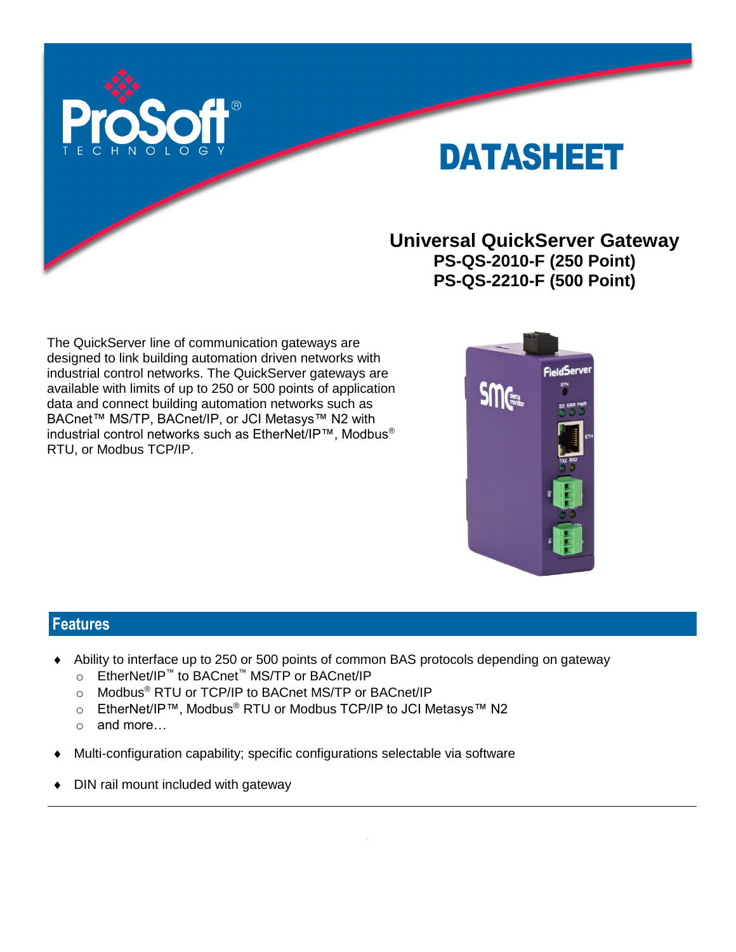

# DATASHEET

## **Universal QuickServer Gateway PS-QS-2010-F (250 Point) PS-QS-2210-F (500 Point)**

The QuickServer line of communication gateways are designed to link building automation driven networks with industrial control networks. The QuickServer gateways are available with limits of up to 250 or 500 points of application data and connect building automation networks such as BACnet™ MS/TP, BACnet/IP, or JCI Metasys™ N2 with industrial control networks such as EtherNet/IP™, Modbus® RTU, or Modbus TCP/IP.



### **Features**

- Ability to interface up to 250 or 500 points of common BAS protocols depending on gateway
	- o EtherNet/IP™ to BACnet™ MS/TP or BACnet/IP
	- o Modbus® RTU or TCP/IP to BACnet MS/TP or BACnet/IP
	- o EtherNet/IP™, Modbus<sup>®</sup> RTU or Modbus TCP/IP to JCI Metasys™ N2
	- o and more…
- Multi-configuration capability; specific configurations selectable via software
- DIN rail mount included with gateway